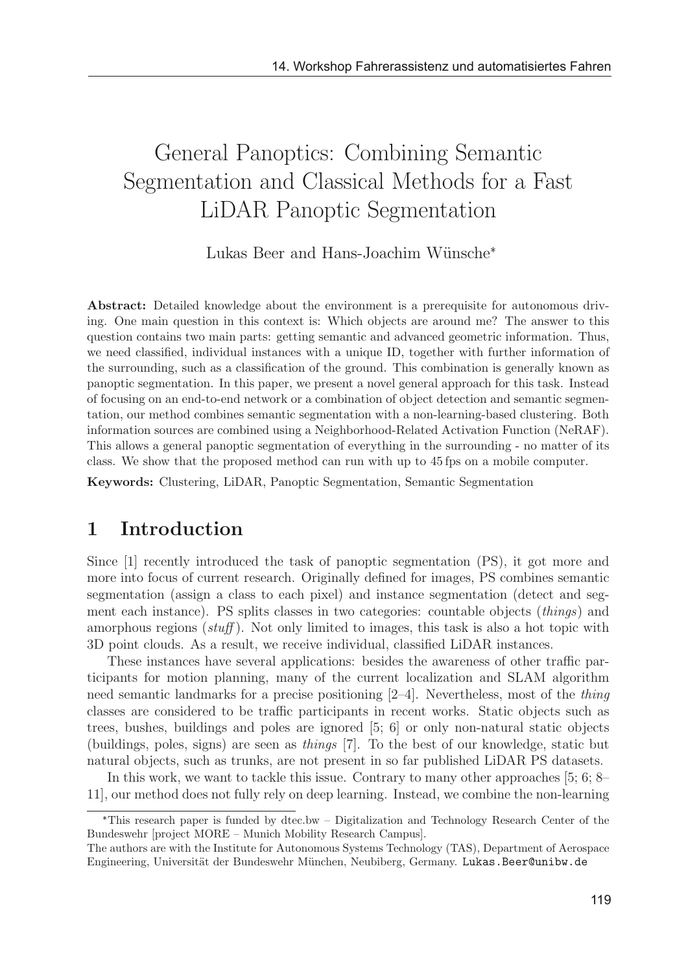# General Panoptics: Combining Semantic Segmentation and Classical Methods for a Fast LiDAR Panoptic Segmentation

Lukas Beer and Hans-Joachim Wünsche<sup>\*</sup>

Abstract: Detailed knowledge about the environment is a prerequisite for autonomous driving. One main question in this context is: Which objects are around me? The answer to this question contains two main parts: getting semantic and advanced geometric information. Thus, we need classified, individual instances with a unique ID, together with further information of the surrounding, such as a classification of the ground. This combination is generally known as panoptic segmentation. In this paper, we present a novel general approach for this task. Instead of focusing on an end-to-end network or a combination of object detection and semantic segmentation, our method combines semantic segmentation with a non-learning-based clustering. Both information sources are combined using a Neighborhood-Related Activation Function (NeRAF). This allows a general panoptic segmentation of everything in the surrounding - no matter of its class. We show that the proposed method can run with up to 45 fps on a mobile computer.

Keywords: Clustering, LiDAR, Panoptic Segmentation, Semantic Segmentation

### 1 Introduction

Since [1] recently introduced the task of panoptic segmentation (PS), it got more and more into focus of current research. Originally defined for images, PS combines semantic segmentation (assign a class to each pixel) and instance segmentation (detect and segment each instance). PS splits classes in two categories: countable objects (things) and amorphous regions  $(stuff)$ . Not only limited to images, this task is also a hot topic with 3D point clouds. As a result, we receive individual, classified LiDAR instances.

These instances have several applications: besides the awareness of other traffic participants for motion planning, many of the current localization and SLAM algorithm need semantic landmarks for a precise positioning  $[2-4]$ . Nevertheless, most of the *thing* classes are considered to be traffic participants in recent works. Static objects such as trees, bushes, buildings and poles are ignored [5; 6] or only non-natural static objects (buildings, poles, signs) are seen as things [7]. To the best of our knowledge, static but natural objects, such as trunks, are not present in so far published LiDAR PS datasets.

In this work, we want to tackle this issue. Contrary to many other approaches [5; 6; 8– 11], our method does not fully rely on deep learning. Instead, we combine the non-learning

This research paper is funded by dtec.bw – Digitalization and Technology Research Center of the Bundeswehr [project MORE – Munich Mobility Research Campus].

The authors are with the Institute for Autonomous Systems Technology (TAS), Department of Aerospace Engineering, Universität der Bundeswehr München, Neubiberg, Germany. Lukas.Beer@unibw.de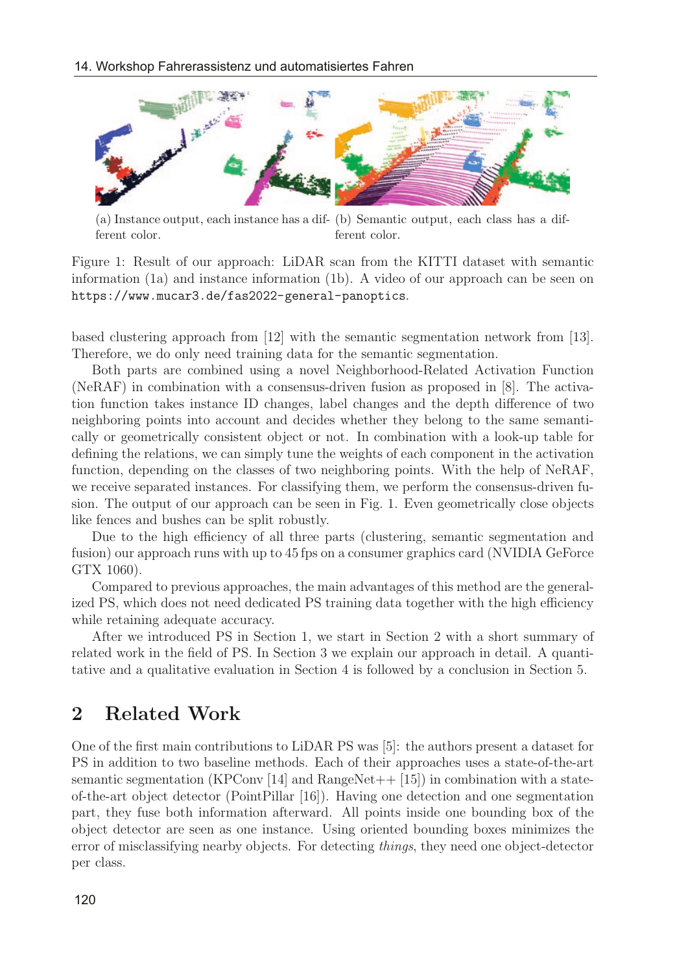

(a) Instance output, each instance has a dif-(b) Semantic output, each class has a different color. ferent color.

Figure 1: Result of our approach: LiDAR scan from the KITTI dataset with semantic information (1a) and instance information (1b). A video of our approach can be seen on https://www.mucar3.de/fas2022-general-panoptics.

based clustering approach from [12] with the semantic segmentation network from [13]. Therefore, we do only need training data for the semantic segmentation.

Both parts are combined using a novel Neighborhood-Related Activation Function (NeRAF) in combination with a consensus-driven fusion as proposed in [8]. The activation function takes instance ID changes, label changes and the depth difference of two neighboring points into account and decides whether they belong to the same semantically or geometrically consistent object or not. In combination with a look-up table for defining the relations, we can simply tune the weights of each component in the activation function, depending on the classes of two neighboring points. With the help of NeRAF, we receive separated instances. For classifying them, we perform the consensus-driven fusion. The output of our approach can be seen in Fig. 1. Even geometrically close objects like fences and bushes can be split robustly.

Due to the high efficiency of all three parts (clustering, semantic segmentation and fusion) our approach runs with up to 45 fps on a consumer graphics card (NVIDIA GeForce GTX 1060).

Compared to previous approaches, the main advantages of this method are the generalized PS, which does not need dedicated PS training data together with the high efficiency while retaining adequate accuracy.

After we introduced PS in Section 1, we start in Section 2 with a short summary of related work in the field of PS. In Section 3 we explain our approach in detail. A quantitative and a qualitative evaluation in Section 4 is followed by a conclusion in Section 5.

### 2 Related Work

One of the first main contributions to LiDAR PS was [5]: the authors present a dataset for PS in addition to two baseline methods. Each of their approaches uses a state-of-the-art semantic segmentation (KPConv [14] and RangeNet $++$  [15]) in combination with a stateof-the-art object detector (PointPillar [16]). Having one detection and one segmentation part, they fuse both information afterward. All points inside one bounding box of the object detector are seen as one instance. Using oriented bounding boxes minimizes the error of misclassifying nearby objects. For detecting things, they need one object-detector per class.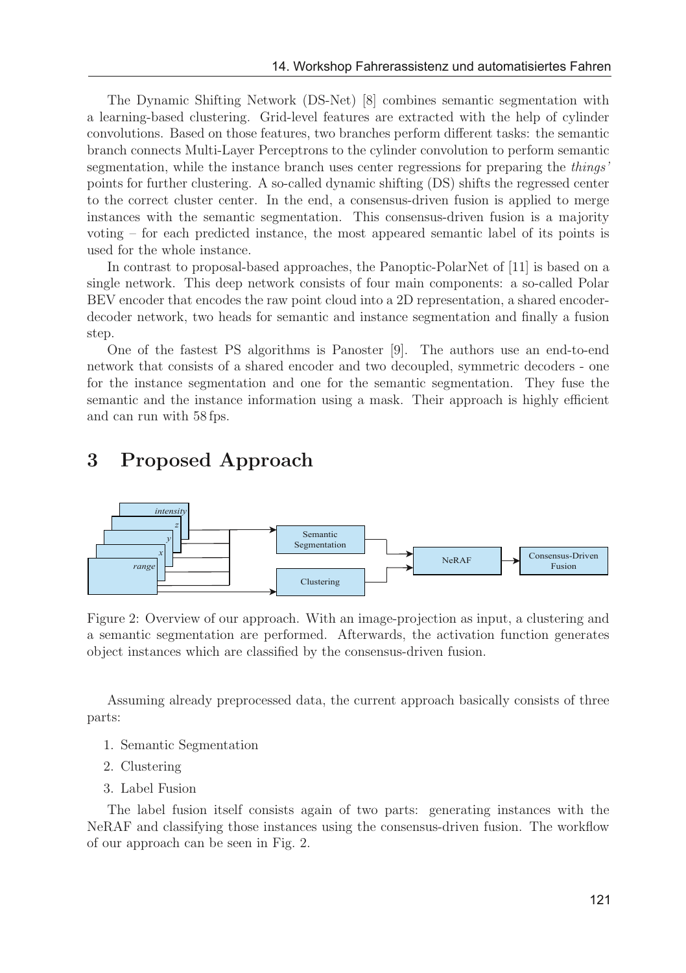The Dynamic Shifting Network (DS-Net) [8] combines semantic segmentation with a learning-based clustering. Grid-level features are extracted with the help of cylinder convolutions. Based on those features, two branches perform different tasks: the semantic branch connects Multi-Layer Perceptrons to the cylinder convolution to perform semantic segmentation, while the instance branch uses center regressions for preparing the *things'* points for further clustering. A so-called dynamic shifting (DS) shifts the regressed center to the correct cluster center. In the end, a consensus-driven fusion is applied to merge instances with the semantic segmentation. This consensus-driven fusion is a majority voting – for each predicted instance, the most appeared semantic label of its points is used for the whole instance.

In contrast to proposal-based approaches, the Panoptic-PolarNet of [11] is based on a single network. This deep network consists of four main components: a so-called Polar BEV encoder that encodes the raw point cloud into a 2D representation, a shared encoderdecoder network, two heads for semantic and instance segmentation and finally a fusion step.

One of the fastest PS algorithms is Panoster [9]. The authors use an end-to-end network that consists of a shared encoder and two decoupled, symmetric decoders - one for the instance segmentation and one for the semantic segmentation. They fuse the semantic and the instance information using a mask. Their approach is highly efficient and can run with 58 fps.

## 3 Proposed Approach



Figure 2: Overview of our approach. With an image-projection as input, a clustering and a semantic segmentation are performed. Afterwards, the activation function generates object instances which are classified by the consensus-driven fusion.

Assuming already preprocessed data, the current approach basically consists of three parts:

- 1. Semantic Segmentation
- 2. Clustering
- 3. Label Fusion

The label fusion itself consists again of two parts: generating instances with the NeRAF and classifying those instances using the consensus-driven fusion. The workflow of our approach can be seen in Fig. 2.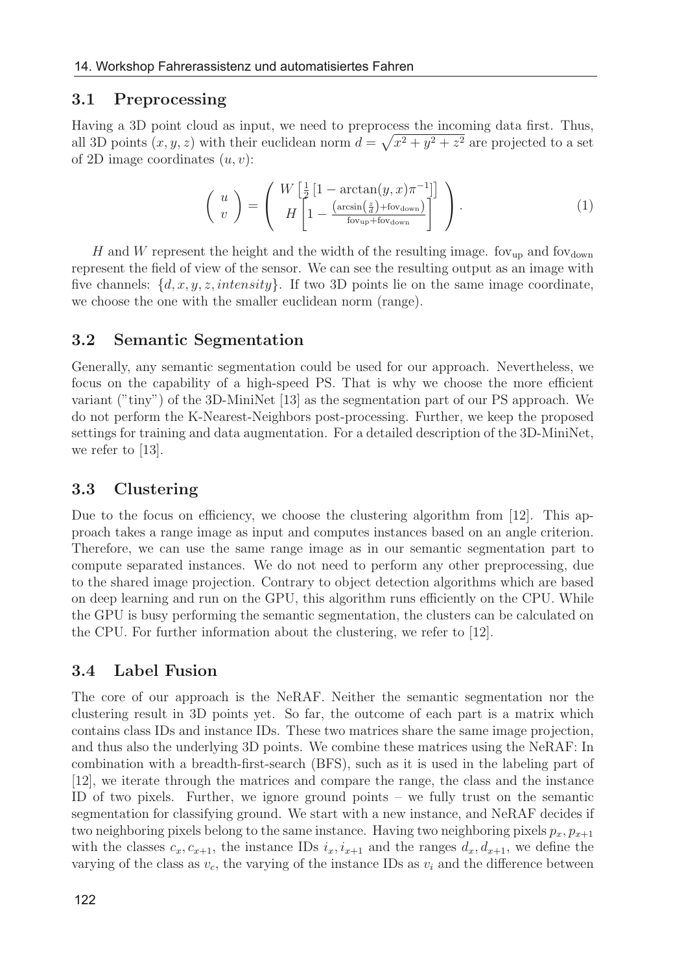### 3.1 Preprocessing

Having a 3D point cloud as input, we need to preprocess the incoming data first. Thus, all 3D points  $(x, y, z)$  with their euclidean norm  $d = \sqrt{x^2 + y^2 + z^2}$  are projected to a set of 2D image coordinates  $(u, v)$ :

$$
\begin{pmatrix} u \\ v \end{pmatrix} = \begin{pmatrix} W \left[ \frac{1}{2} \left[ 1 - \arctan(y, x)\pi^{-1} \right] \right] \\ H \left[ 1 - \frac{\left( \arcsin\left( \frac{z}{d} \right) + \text{fov}_{\text{down}} \right)}{\text{fov}_{\text{up}} + \text{fov}_{\text{down}}} \right] \end{pmatrix} . \tag{1}
$$

H and W represent the height and the width of the resulting image. for  $_{\text{up}}$  and for  $_{\text{down}}$ represent the field of view of the sensor. We can see the resulting output as an image with five channels:  $\{d, x, y, z, intensity\}$ . If two 3D points lie on the same image coordinate, we choose the one with the smaller euclidean norm (range).

### 3.2 Semantic Segmentation

Generally, any semantic segmentation could be used for our approach. Nevertheless, we focus on the capability of a high-speed PS. That is why we choose the more efficient variant ("tiny") of the 3D-MiniNet [13] as the segmentation part of our PS approach. We do not perform the K-Nearest-Neighbors post-processing. Further, we keep the proposed settings for training and data augmentation. For a detailed description of the 3D-MiniNet, we refer to [13].

### 3.3 Clustering

Due to the focus on efficiency, we choose the clustering algorithm from [12]. This approach takes a range image as input and computes instances based on an angle criterion. Therefore, we can use the same range image as in our semantic segmentation part to compute separated instances. We do not need to perform any other preprocessing, due to the shared image projection. Contrary to object detection algorithms which are based on deep learning and run on the GPU, this algorithm runs efficiently on the CPU. While the GPU is busy performing the semantic segmentation, the clusters can be calculated on the CPU. For further information about the clustering, we refer to [12].

### 3.4 Label Fusion

The core of our approach is the NeRAF. Neither the semantic segmentation nor the clustering result in 3D points yet. So far, the outcome of each part is a matrix which contains class IDs and instance IDs. These two matrices share the same image projection, and thus also the underlying 3D points. We combine these matrices using the NeRAF: In combination with a breadth-first-search (BFS), such as it is used in the labeling part of [12], we iterate through the matrices and compare the range, the class and the instance ID of two pixels. Further, we ignore ground points – we fully trust on the semantic segmentation for classifying ground. We start with a new instance, and NeRAF decides if two neighboring pixels belong to the same instance. Having two neighboring pixels  $p_x, p_{x+1}$ with the classes  $c_x, c_{x+1}$ , the instance IDs  $i_x, i_{x+1}$  and the ranges  $d_x, d_{x+1}$ , we define the varying of the class as  $v_c$ , the varying of the instance IDs as  $v_i$  and the difference between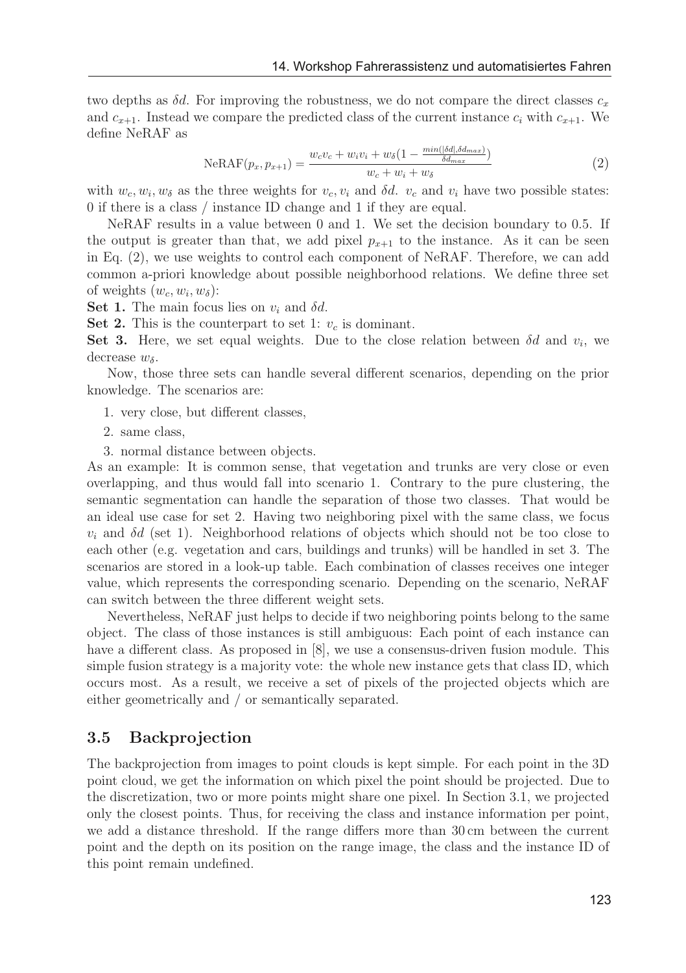two depths as  $\delta d$ . For improving the robustness, we do not compare the direct classes  $c_x$ and  $c_{x+1}$ . Instead we compare the predicted class of the current instance  $c_i$  with  $c_{x+1}$ . We define NeRAF as

$$
N e R A F(p_x, p_{x+1}) = \frac{w_c v_c + w_i v_i + w_\delta (1 - \frac{min(\delta d_i, \delta d_{max})}{\delta d_{max})}}{w_c + w_i + w_\delta}
$$
(2)

with  $w_c, w_i, w_\delta$  as the three weights for  $v_c, v_i$  and  $\delta d$ .  $v_c$  and  $v_i$  have two possible states: 0 if there is a class / instance ID change and 1 if they are equal.

NeRAF results in a value between 0 and 1. We set the decision boundary to 0.5. If the output is greater than that, we add pixel  $p_{x+1}$  to the instance. As it can be seen in Eq. (2), we use weights to control each component of NeRAF. Therefore, we can add common a-priori knowledge about possible neighborhood relations. We define three set of weights  $(w_c, w_i, w_\delta)$ :

Set 1. The main focus lies on  $v_i$  and  $\delta d$ .

Set 2. This is the counterpart to set 1:  $v_c$  is dominant.

Set 3. Here, we set equal weights. Due to the close relation between  $\delta d$  and  $v_i$ , we decrease  $w_{\delta}$ .

Now, those three sets can handle several different scenarios, depending on the prior knowledge. The scenarios are:

- 1. very close, but different classes,
- 2. same class,
- 3. normal distance between objects.

As an example: It is common sense, that vegetation and trunks are very close or even overlapping, and thus would fall into scenario 1. Contrary to the pure clustering, the semantic segmentation can handle the separation of those two classes. That would be an ideal use case for set 2. Having two neighboring pixel with the same class, we focus  $v_i$  and  $\delta d$  (set 1). Neighborhood relations of objects which should not be too close to each other (e.g. vegetation and cars, buildings and trunks) will be handled in set 3. The scenarios are stored in a look-up table. Each combination of classes receives one integer value, which represents the corresponding scenario. Depending on the scenario, NeRAF can switch between the three different weight sets.

Nevertheless, NeRAF just helps to decide if two neighboring points belong to the same object. The class of those instances is still ambiguous: Each point of each instance can have a different class. As proposed in  $[8]$ , we use a consensus-driven fusion module. This simple fusion strategy is a majority vote: the whole new instance gets that class ID, which occurs most. As a result, we receive a set of pixels of the projected objects which are either geometrically and / or semantically separated.

### 3.5 Backprojection

The backprojection from images to point clouds is kept simple. For each point in the 3D point cloud, we get the information on which pixel the point should be projected. Due to the discretization, two or more points might share one pixel. In Section 3.1, we projected only the closest points. Thus, for receiving the class and instance information per point, we add a distance threshold. If the range differs more than 30 cm between the current point and the depth on its position on the range image, the class and the instance ID of this point remain undefined.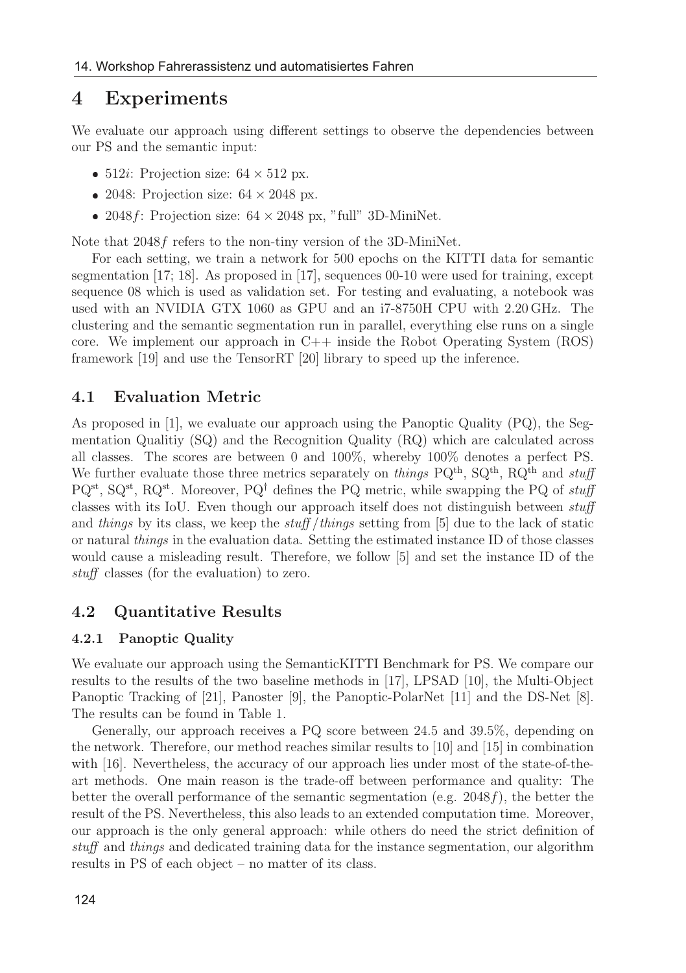### 4 Experiments

We evaluate our approach using different settings to observe the dependencies between our PS and the semantic input:

- 512*i*: Projection size:  $64 \times 512$  px.
- 2048: Projection size:  $64 \times 2048$  px.
- 2048 f: Projection size:  $64 \times 2048$  px, "full" 3D-MiniNet.

Note that 2048f refers to the non-tiny version of the 3D-MiniNet.

For each setting, we train a network for 500 epochs on the KITTI data for semantic segmentation [17; 18]. As proposed in [17], sequences 00-10 were used for training, except sequence 08 which is used as validation set. For testing and evaluating, a notebook was used with an NVIDIA GTX 1060 as GPU and an i7-8750H CPU with 2.20 GHz. The clustering and the semantic segmentation run in parallel, everything else runs on a single core. We implement our approach in C++ inside the Robot Operating System (ROS) framework [19] and use the TensorRT [20] library to speed up the inference.

### 4.1 Evaluation Metric

As proposed in [1], we evaluate our approach using the Panoptic Quality (PQ), the Segmentation Qualitiy (SQ) and the Recognition Quality (RQ) which are calculated across all classes. The scores are between 0 and 100%, whereby 100% denotes a perfect PS. We further evaluate those three metrics separately on things  $PQ^{th}$ ,  $SQ^{th}$ ,  $RQ^{th}$  and stuff  $PQ^{st}$ ,  $SQ^{st}$ ,  $RQ^{st}$ . Moreover,  $PQ^{\dagger}$  defines the PQ metric, while swapping the PQ of stuff classes with its IoU. Even though our approach itself does not distinguish between stuff and things by its class, we keep the  $\text{stuff}/\text{things}$  setting from [5] due to the lack of static or natural things in the evaluation data. Setting the estimated instance ID of those classes would cause a misleading result. Therefore, we follow [5] and set the instance ID of the stuff classes (for the evaluation) to zero.

#### 4.2 Quantitative Results

#### 4.2.1 Panoptic Quality

We evaluate our approach using the SemanticKITTI Benchmark for PS. We compare our results to the results of the two baseline methods in [17], LPSAD [10], the Multi-Object Panoptic Tracking of [21], Panoster [9], the Panoptic-PolarNet [11] and the DS-Net [8]. The results can be found in Table 1.

Generally, our approach receives a PQ score between 24.5 and 39.5%, depending on the network. Therefore, our method reaches similar results to [10] and [15] in combination with [16]. Nevertheless, the accuracy of our approach lies under most of the state-of-theart methods. One main reason is the trade-off between performance and quality: The better the overall performance of the semantic segmentation (e.g.  $2048f$ ), the better the result of the PS. Nevertheless, this also leads to an extended computation time. Moreover, our approach is the only general approach: while others do need the strict definition of stuff and things and dedicated training data for the instance segmentation, our algorithm results in PS of each object – no matter of its class.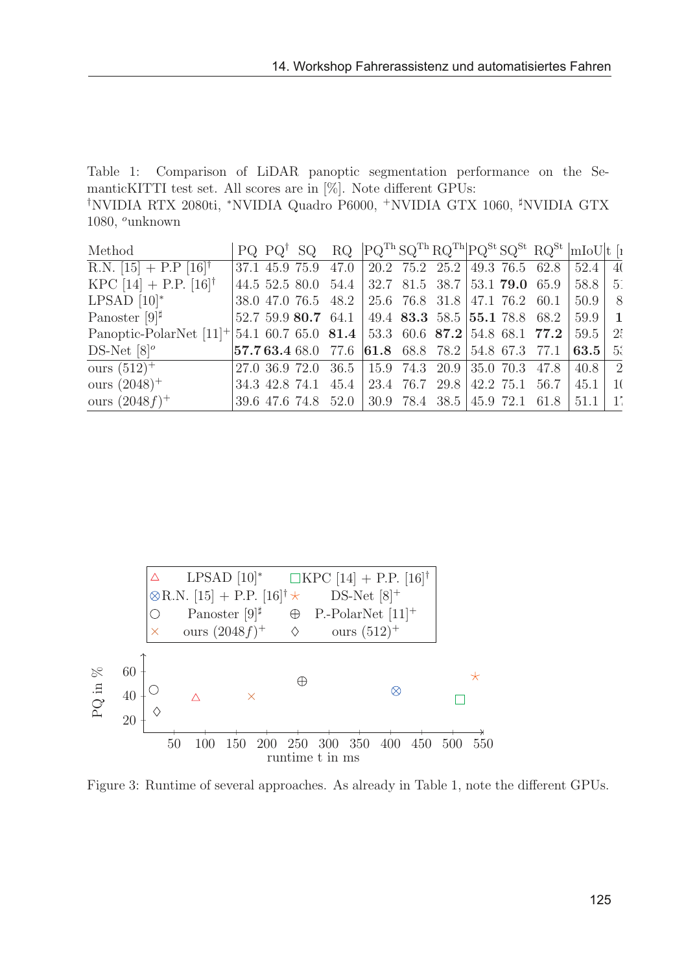Table 1: Comparison of LiDAR panoptic segmentation performance on the SemanticKITTI test set. All scores are in [%]. Note different GPUs: † NVIDIA RTX 2080ti, <sup>∗</sup>NVIDIA Quadro P6000, <sup>+</sup>NVIDIA GTX 1060, NVIDIA GTX 1080, <sup>o</sup>unknown

| Method                                                                              |  |  |  |  | PQ $PQ^{\dagger}$ SQ $RQ$ $[PQ^{Th}SQ^{Th}RQ^{Th}]PQ^{St}SQ^{St} RQ^{St}$ $RQ^{St}$ $ mIoU t$ [1                                                                                                                                    |      |     |
|-------------------------------------------------------------------------------------|--|--|--|--|-------------------------------------------------------------------------------------------------------------------------------------------------------------------------------------------------------------------------------------|------|-----|
| $R.N. [15] + P.P. [16]$                                                             |  |  |  |  | 37.1 45.9 75.9 47.0 20.2 75.2 25.2 49.3 76.5 62.8 52.4 4                                                                                                                                                                            |      |     |
| KPC [14] + P.P. [16] <sup>†</sup>                                                   |  |  |  |  | $ 44.5, 52.5, 80.0, 54.4,  32.7, 81.5, 38.7,  53.1, 79.0, 65.9,  58.8,  51.0, 65.9, 65.9,  53.8, 65.9, 65.9, 65.9, 65.9, 65.9, 65.9, 65.9, 65.9, 65.9, 65.9, 65.9, 65.9, 65.9, 65.9, 65.9, 65.9, 65.9, 65.9, 65.9, 65.9, 65.9, 65.$ |      |     |
| LPSAD $[10]^*$                                                                      |  |  |  |  | 38.0 47.0 76.5 48.2 25.6 76.8 31.8 47.1 76.2 60.1                                                                                                                                                                                   | 50.9 | - 8 |
| Panoster $[9]$ <sup><math>\sharp</math></sup>                                       |  |  |  |  | $52.759.980.764.1   49.483.3558.5   55.178.868.2   59.9   1$                                                                                                                                                                        |      |     |
| Panoptic-PolarNet $[11]^+$ 54.1 60.7 65.0 81.4 53.3 60.6 87.2 54.8 68.1 77.2 59.5 2 |  |  |  |  |                                                                                                                                                                                                                                     |      |     |
| DS-Net $[8]^\circ$                                                                  |  |  |  |  |                                                                                                                                                                                                                                     |      |     |
| ours $(512)^+$                                                                      |  |  |  |  | $27.0$ 36.9 72.0 36.5 $\mid$ 15.9 74.3 20.9 35.0 70.3 47.8 40.8 2                                                                                                                                                                   |      |     |
| ours $(2048)^+$                                                                     |  |  |  |  | $34.3$ 42.8 74.1 45.4 23.4 76.7 29.8 42.2 75.1 56.7 45.1 10                                                                                                                                                                         |      |     |
| ours $(2048 f)^+$                                                                   |  |  |  |  | 39.6 47.6 74.8 52.0 30.9 78.4 38.5 45.9 72.1 61.8 51.1 1                                                                                                                                                                            |      |     |



Figure 3: Runtime of several approaches. As already in Table 1, note the different GPUs.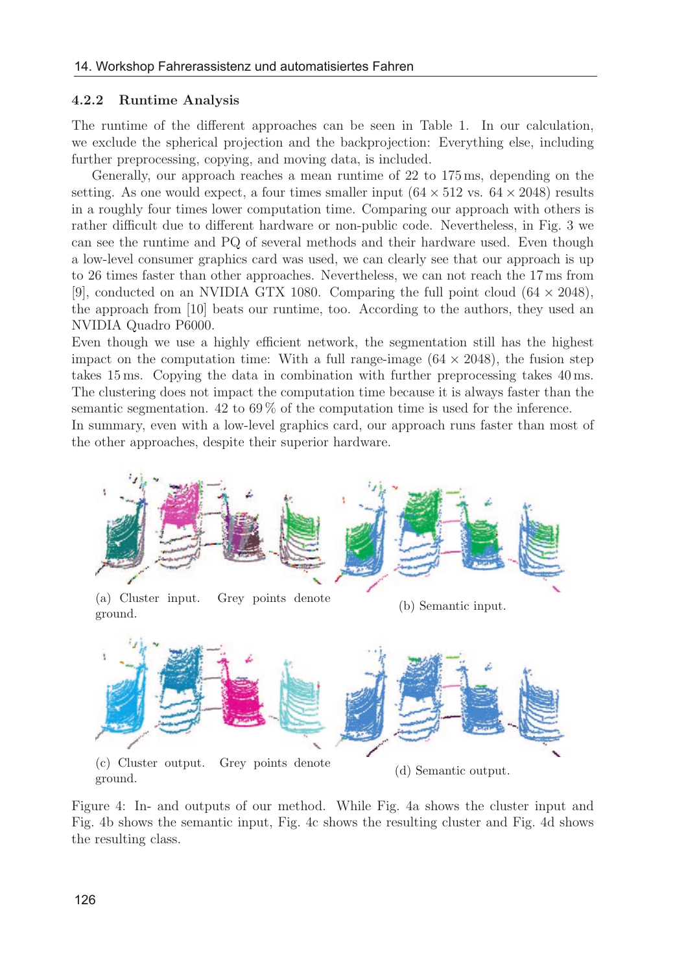#### 4.2.2 Runtime Analysis

The runtime of the different approaches can be seen in Table 1. In our calculation, we exclude the spherical projection and the backprojection: Everything else, including further preprocessing, copying, and moving data, is included.

Generally, our approach reaches a mean runtime of 22 to 175 ms, depending on the setting. As one would expect, a four times smaller input  $(64 \times 512 \text{ vs. } 64 \times 2048)$  results in a roughly four times lower computation time. Comparing our approach with others is rather difficult due to different hardware or non-public code. Nevertheless, in Fig. 3 we can see the runtime and PQ of several methods and their hardware used. Even though a low-level consumer graphics card was used, we can clearly see that our approach is up to 26 times faster than other approaches. Nevertheless, we can not reach the 17 ms from [9], conducted on an NVIDIA GTX 1080. Comparing the full point cloud  $(64 \times 2048)$ , the approach from [10] beats our runtime, too. According to the authors, they used an NVIDIA Quadro P6000.

Even though we use a highly efficient network, the segmentation still has the highest impact on the computation time: With a full range-image  $(64 \times 2048)$ , the fusion step takes 15 ms. Copying the data in combination with further preprocessing takes 40 ms. The clustering does not impact the computation time because it is always faster than the semantic segmentation. 42 to 69 % of the computation time is used for the inference. In summary, even with a low-level graphics card, our approach runs faster than most of the other approaches, despite their superior hardware.



Figure 4: In- and outputs of our method. While Fig. 4a shows the cluster input and Fig. 4b shows the semantic input, Fig. 4c shows the resulting cluster and Fig. 4d shows the resulting class.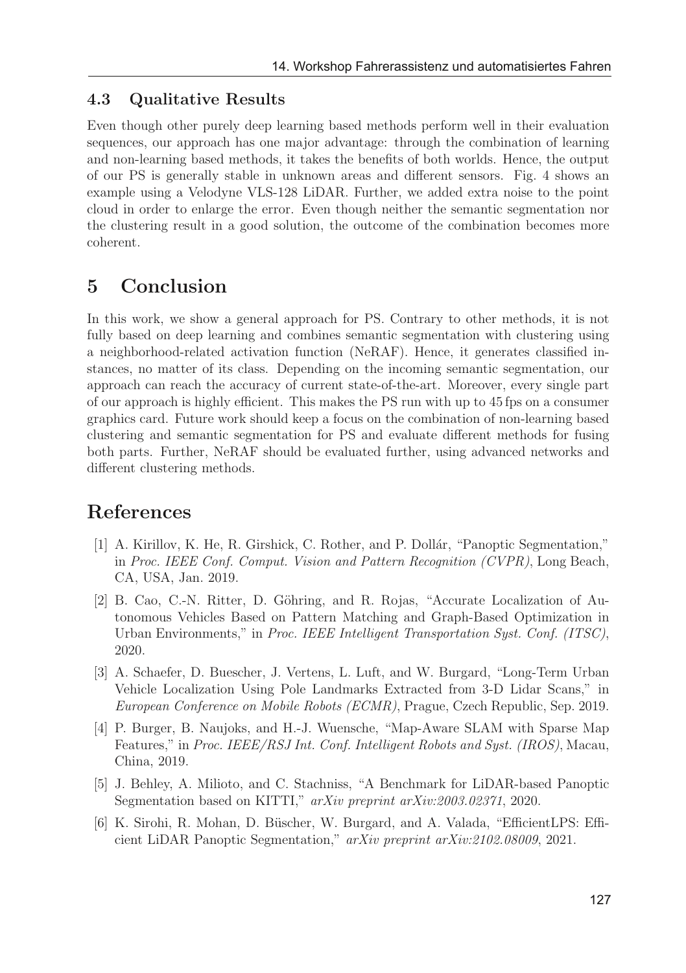### 4.3 Qualitative Results

Even though other purely deep learning based methods perform well in their evaluation sequences, our approach has one major advantage: through the combination of learning and non-learning based methods, it takes the benefits of both worlds. Hence, the output of our PS is generally stable in unknown areas and different sensors. Fig. 4 shows an example using a Velodyne VLS-128 LiDAR. Further, we added extra noise to the point cloud in order to enlarge the error. Even though neither the semantic segmentation nor the clustering result in a good solution, the outcome of the combination becomes more coherent.

### 5 Conclusion

In this work, we show a general approach for PS. Contrary to other methods, it is not fully based on deep learning and combines semantic segmentation with clustering using a neighborhood-related activation function (NeRAF). Hence, it generates classified instances, no matter of its class. Depending on the incoming semantic segmentation, our approach can reach the accuracy of current state-of-the-art. Moreover, every single part of our approach is highly efficient. This makes the PS run with up to 45 fps on a consumer graphics card. Future work should keep a focus on the combination of non-learning based clustering and semantic segmentation for PS and evaluate different methods for fusing both parts. Further, NeRAF should be evaluated further, using advanced networks and different clustering methods.

# References

- [1] A. Kirillov, K. He, R. Girshick, C. Rother, and P. Dollár, "Panoptic Segmentation," in Proc. IEEE Conf. Comput. Vision and Pattern Recognition (CVPR), Long Beach, CA, USA, Jan. 2019.
- [2] B. Cao, C.-N. Ritter, D. Göhring, and R. Rojas, "Accurate Localization of Autonomous Vehicles Based on Pattern Matching and Graph-Based Optimization in Urban Environments," in Proc. IEEE Intelligent Transportation Syst. Conf. (ITSC), 2020.
- [3] A. Schaefer, D. Buescher, J. Vertens, L. Luft, and W. Burgard, "Long-Term Urban Vehicle Localization Using Pole Landmarks Extracted from 3-D Lidar Scans," in European Conference on Mobile Robots (ECMR), Prague, Czech Republic, Sep. 2019.
- [4] P. Burger, B. Naujoks, and H.-J. Wuensche, "Map-Aware SLAM with Sparse Map Features," in Proc. IEEE/RSJ Int. Conf. Intelligent Robots and Syst. (IROS), Macau, China, 2019.
- [5] J. Behley, A. Milioto, and C. Stachniss, "A Benchmark for LiDAR-based Panoptic Segmentation based on KITTI," arXiv preprint arXiv:2003.02371, 2020.
- [6] K. Sirohi, R. Mohan, D. Büscher, W. Burgard, and A. Valada, "EfficientLPS: Efficient LiDAR Panoptic Segmentation," arXiv preprint arXiv:2102.08009, 2021.